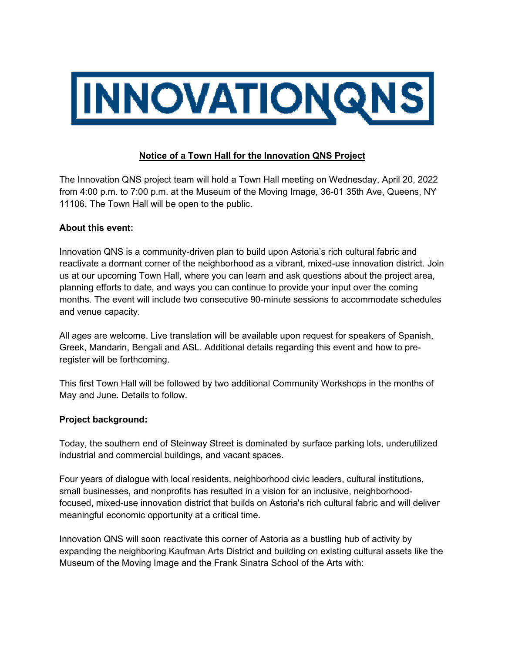

## **Notice of a Town Hall for the Innovation QNS Project**

The Innovation QNS project team will hold a Town Hall meeting on Wednesday, April 20, 2022 from 4:00 p.m. to 7:00 p.m. at the Museum of the Moving Image, 36-01 35th Ave, Queens, NY 11106. The Town Hall will be open to the public.

## **About this event:**

Innovation QNS is a community-driven plan to build upon Astoria's rich cultural fabric and reactivate a dormant corner of the neighborhood as a vibrant, mixed-use innovation district. Join us at our upcoming Town Hall, where you can learn and ask questions about the project area, planning efforts to date, and ways you can continue to provide your input over the coming months. The event will include two consecutive 90-minute sessions to accommodate schedules and venue capacity.

All ages are welcome. Live translation will be available upon request for speakers of Spanish, Greek, Mandarin, Bengali and ASL. Additional details regarding this event and how to preregister will be forthcoming.

This first Town Hall will be followed by two additional Community Workshops in the months of May and June. Details to follow.

## **Project background:**

Today, the southern end of Steinway Street is dominated by surface parking lots, underutilized industrial and commercial buildings, and vacant spaces.

Four years of dialogue with local residents, neighborhood civic leaders, cultural institutions, small businesses, and nonprofits has resulted in a vision for an inclusive, neighborhoodfocused, mixed-use innovation district that builds on Astoria's rich cultural fabric and will deliver meaningful economic opportunity at a critical time.

Innovation QNS will soon reactivate this corner of Astoria as a bustling hub of activity by expanding the neighboring Kaufman Arts District and building on existing cultural assets like the Museum of the Moving Image and the Frank Sinatra School of the Arts with: